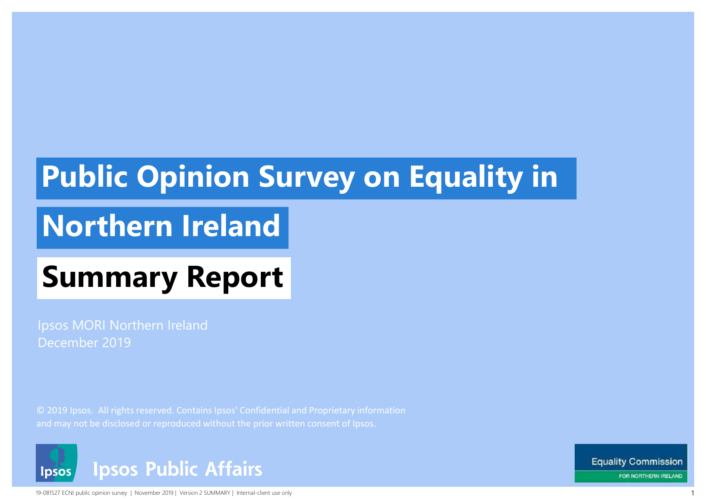# **Public Opinion Survey on Equality in**

# **Northern Ireland**

# **Summary Report**

Ipsos MORI Northern Ireland December 2019

© 2019 Ipsos. All rights reserved. Contains Ipsos' Confidential and Proprietary information and may not be disclosed or reproduced without the prior written consent of Ipsos.



19-081527 ECNI public opinion survey | November 2019 | Version 2 SUMMARY | Internal-client use only

**Equality Commission** FOR NORTHERN IRELAND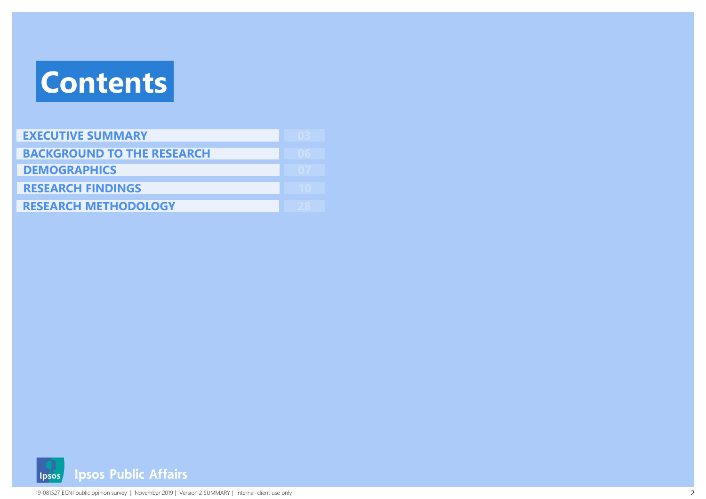# **Contents**

| <b>EXECUTIVE SUMMARY</b>          |  |
|-----------------------------------|--|
| <b>BACKGROUND TO THE RESEARCH</b> |  |
| <b>DEMOGRAPHICS</b>               |  |
| <b>RESEARCH FINDINGS</b>          |  |
| <b>RESEARCH METHODOLOGY</b>       |  |

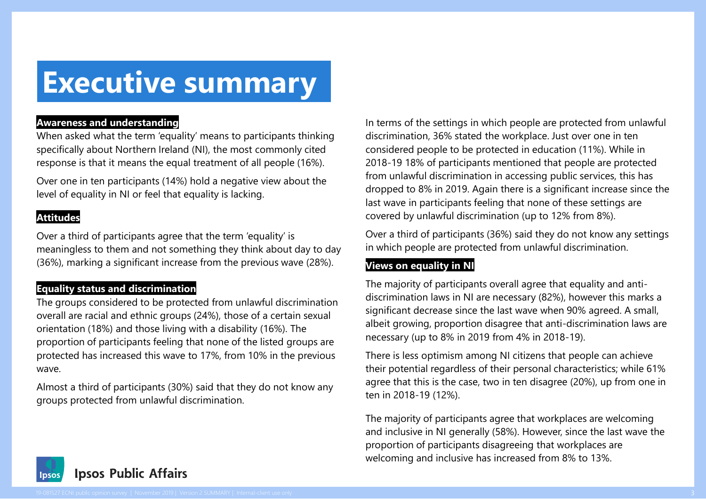### **Executive summary**

#### **Awareness and understanding**

When asked what the term 'equality' means to participants thinking specifically about Northern Ireland (NI), the most commonly cited response is that it means the equal treatment of all people (16%).

Over one in ten participants (14%) hold a negative view about the level of equality in NI or feel that equality is lacking.

#### **Attitudes**

Over a third of participants agree that the term 'equality' is meaningless to them and not something they think about day to day (36%), marking a significant increase from the previous wave (28%).

#### **Equality status and discrimination**

The groups considered to be protected from unlawful discrimination overall are racial and ethnic groups (24%), those of a certain sexual orientation (18%) and those living with a disability (16%). The proportion of participants feeling that none of the listed groups are protected has increased this wave to 17%, from 10% in the previous wave.

Almost a third of participants (30%) said that they do not know any groups protected from unlawful discrimination.

In terms of the settings in which people are protected from unlawful discrimination, 36% stated the workplace. Just over one in ten considered people to be protected in education (11%). While in 2018-19 18% of participants mentioned that people are protected from unlawful discrimination in accessing public services, this has dropped to 8% in 2019. Again there is a significant increase since the last wave in participants feeling that none of these settings are covered by unlawful discrimination (up to 12% from 8%).

Over a third of participants (36%) said they do not know any settings in which people are protected from unlawful discrimination.

#### **Views on equality in NI**

The majority of participants overall agree that equality and antidiscrimination laws in NI are necessary (82%), however this marks a significant decrease since the last wave when 90% agreed. A small, albeit growing, proportion disagree that anti-discrimination laws are necessary (up to 8% in 2019 from 4% in 2018-19).

There is less optimism among NI citizens that people can achieve their potential regardless of their personal characteristics; while 61% agree that this is the case, two in ten disagree (20%), up from one in ten in 2018-19 (12%).

The majority of participants agree that workplaces are welcoming and inclusive in NI generally (58%). However, since the last wave the proportion of participants disagreeing that workplaces are welcoming and inclusive has increased from 8% to 13%.

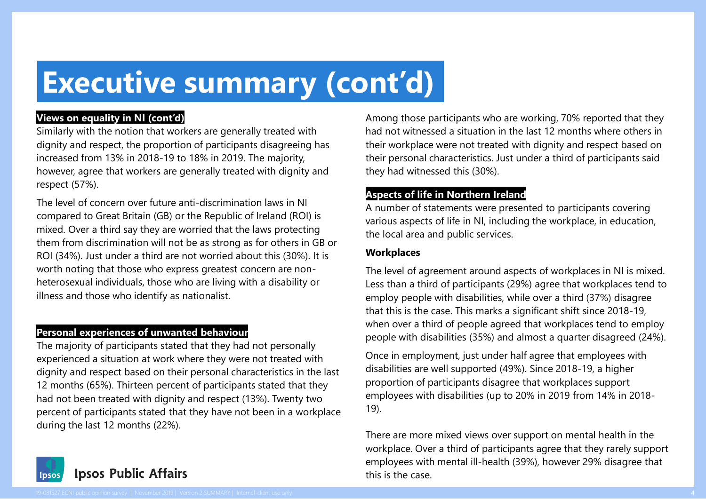# **Executive summary (cont'd)**

#### **Views on equality in NI (cont'd)**

Similarly with the notion that workers are generally treated with dignity and respect, the proportion of participants disagreeing has increased from 13% in 2018-19 to 18% in 2019. The majority, however, agree that workers are generally treated with dignity and respect (57%).

The level of concern over future anti-discrimination laws in NI compared to Great Britain (GB) or the Republic of Ireland (ROI) is mixed. Over a third say they are worried that the laws protecting them from discrimination will not be as strong as for others in GB or ROI (34%). Just under a third are not worried about this (30%). It is worth noting that those who express greatest concern are nonheterosexual individuals, those who are living with a disability or illness and those who identify as nationalist.

#### **Personal experiences of unwanted behaviour**

The majority of participants stated that they had not personally experienced a situation at work where they were not treated with dignity and respect based on their personal characteristics in the last 12 months (65%). Thirteen percent of participants stated that they had not been treated with dignity and respect (13%). Twenty two percent of participants stated that they have not been in a workplace during the last 12 months (22%).

Among those participants who are working, 70% reported that they had not witnessed a situation in the last 12 months where others in their workplace were not treated with dignity and respect based on their personal characteristics. Just under a third of participants said they had witnessed this (30%).

#### **Aspects of life in Northern Ireland**

A number of statements were presented to participants covering various aspects of life in NI, including the workplace, in education, the local area and public services.

#### **Workplaces**

The level of agreement around aspects of workplaces in NI is mixed. Less than a third of participants (29%) agree that workplaces tend to employ people with disabilities, while over a third (37%) disagree that this is the case. This marks a significant shift since 2018-19, when over a third of people agreed that workplaces tend to employ people with disabilities (35%) and almost a quarter disagreed (24%).

Once in employment, just under half agree that employees with disabilities are well supported (49%). Since 2018-19, a higher proportion of participants disagree that workplaces support employees with disabilities (up to 20% in 2019 from 14% in 2018- 19).

There are more mixed views over support on mental health in the workplace. Over a third of participants agree that they rarely support employees with mental ill-health (39%), however 29% disagree that this is the case.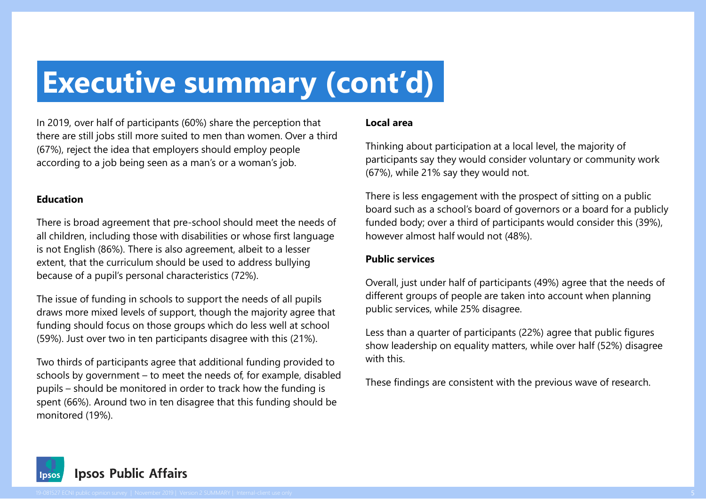### **Executive summary (cont'd)**

In 2019, over half of participants (60%) share the perception that there are still jobs still more suited to men than women. Over a third (67%), reject the idea that employers should employ people according to a job being seen as a man's or a woman's job.

#### **Education**

There is broad agreement that pre-school should meet the needs of all children, including those with disabilities or whose first language is not English (86%). There is also agreement, albeit to a lesser extent, that the curriculum should be used to address bullying because of a pupil's personal characteristics (72%).

The issue of funding in schools to support the needs of all pupils draws more mixed levels of support, though the majority agree that funding should focus on those groups which do less well at school (59%). Just over two in ten participants disagree with this (21%).

Two thirds of participants agree that additional funding provided to schools by government – to meet the needs of, for example, disabled pupils – should be monitored in order to track how the funding is spent (66%). Around two in ten disagree that this funding should be monitored (19%).

#### **Local area**

Thinking about participation at a local level, the majority of participants say they would consider voluntary or community work (67%), while 21% say they would not.

There is less engagement with the prospect of sitting on a public board such as a school's board of governors or a board for a publicly funded body; over a third of participants would consider this (39%), however almost half would not (48%).

#### **Public services**

Overall, just under half of participants (49%) agree that the needs of different groups of people are taken into account when planning public services, while 25% disagree.

Less than a quarter of participants (22%) agree that public figures show leadership on equality matters, while over half (52%) disagree with this.

These findings are consistent with the previous wave of research.

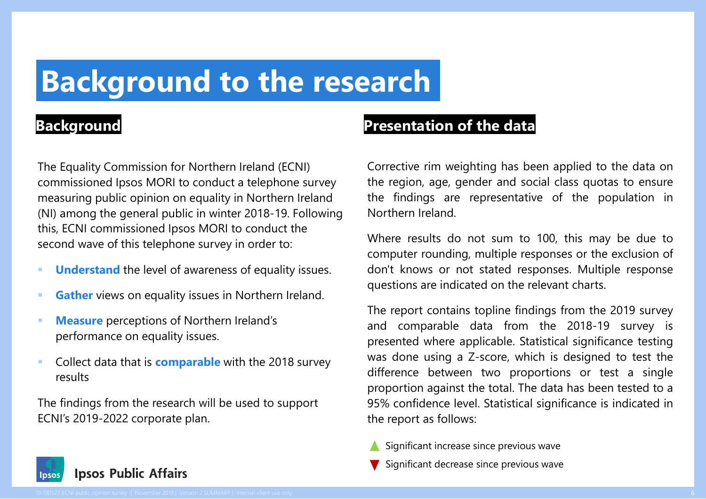### **Background to the research**

The Equality Commission for Northern Ireland (ECNI) commissioned Ipsos MORI to conduct a telephone survey measuring public opinion on equality in Northern Ireland (NI) among the general public in winter 2018-19. Following this, ECNI commissioned Ipsos MORI to conduct the second wave of this telephone survey in order to:

- **Understand** the level of awareness of equality issues.
- **Gather** views on equality issues in Northern Ireland.
- **Measure** perceptions of Northern Ireland's performance on equality issues.
- Collect data that is **comparable** with the 2018 survey results

The findings from the research will be used to support ECNI's 2019-2022 corporate plan.

#### **Background Presentation of the data**

Corrective rim weighting has been applied to the data on the region, age, gender and social class quotas to ensure the findings are representative of the population in Northern Ireland.

Where results do not sum to 100, this may be due to computer rounding, multiple responses or the exclusion of don't knows or not stated responses. Multiple response questions are indicated on the relevant charts.

The report contains topline findings from the 2019 survey and comparable data from the 2018-19 survey is presented where applicable. Statistical significance testing was done using a Z-score, which is designed to test the difference between two proportions or test a single proportion against the total. The data has been tested to a 95% confidence level. Statistical significance is indicated in the report as follows:

- Significant increase since previous wave
- Significant decrease since previous wave

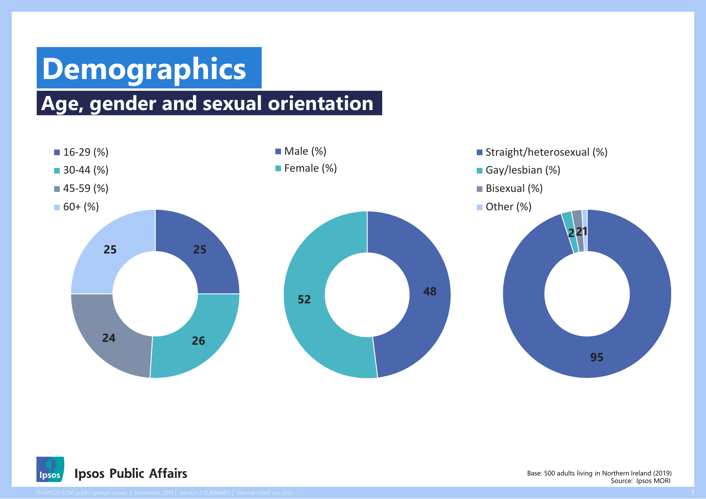## **Demographics**

### **Age, gender and sexual orientation**





Source: Ipsos MORI Base: 500 adults living in Northern Ireland (2019)

<sup>19-081527</sup> ECNI public opinion survey | November 2019 | Version 2 SUMMARY | Internal-client use only 7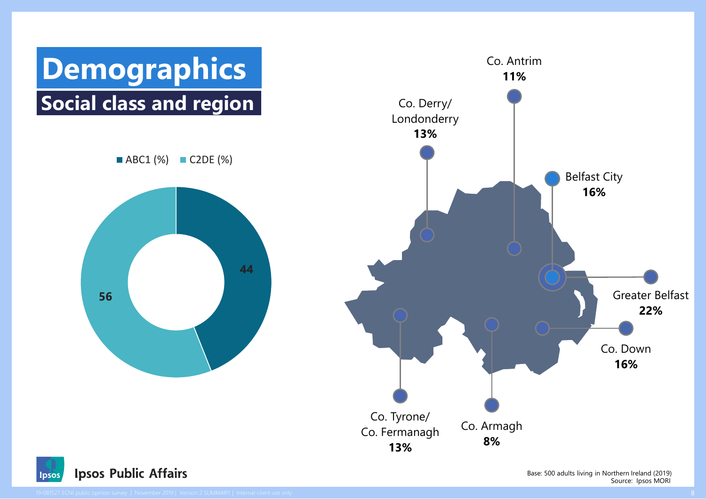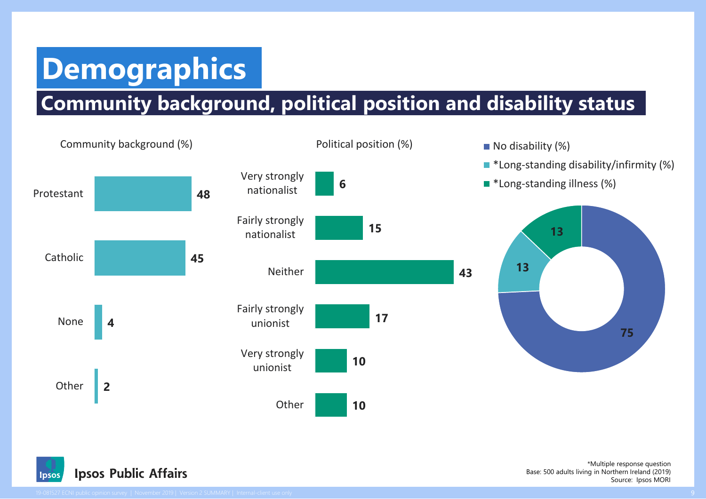# **Demographics**

### **Community background, political position and disability status**





Source: Ipsos MORI \*Multiple response question Base: 500 adults living in Northern Ireland (2019)

Ipsos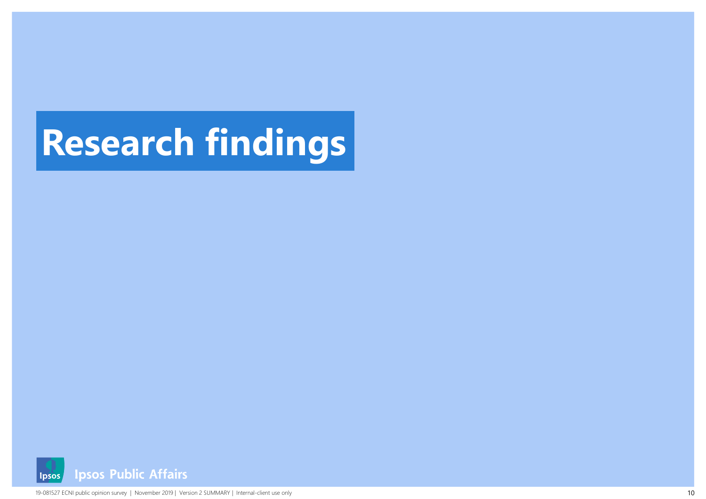# **Research findings**

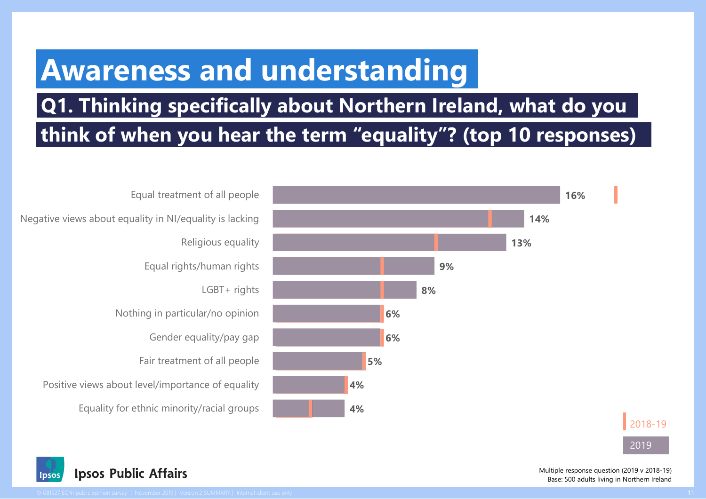### **Awareness and understanding**

### **Q1. Thinking specifically about Northern Ireland, what do you think of when you hear the term "equality"? (top 10 responses)**





2019



Multiple response question (2019 v 2018-19) Base: 500 adults living in Northern Ireland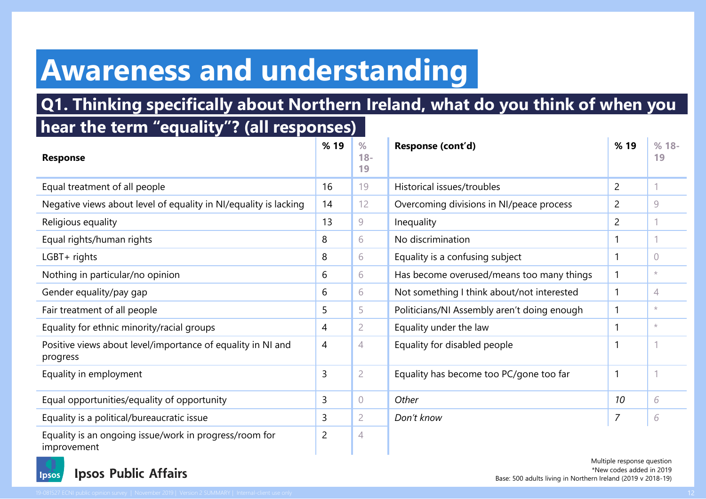### **Awareness and understanding**

### **Q1. Thinking specifically about Northern Ireland, what do you think of when you**

### **hear the term "equality"? (all responses)**

| <b>Response</b>                                                         | %19            | $\frac{9}{6}$<br>$18 -$<br>19 | Response (cont'd)                           |                | $%18-$<br>19 |
|-------------------------------------------------------------------------|----------------|-------------------------------|---------------------------------------------|----------------|--------------|
| Equal treatment of all people                                           | 16             | 19                            | Historical issues/troubles                  | $\overline{2}$ |              |
| Negative views about level of equality in NI/equality is lacking        | 14             | 12                            | Overcoming divisions in NI/peace process    | 2              | 9            |
| Religious equality                                                      | 13             | 9                             | Inequality                                  | 2              |              |
| Equal rights/human rights                                               | 8              | 6                             | No discrimination                           |                |              |
| LGBT+ rights                                                            | 8              | 6                             | Equality is a confusing subject             |                | 0            |
| Nothing in particular/no opinion                                        | 6              | 6                             | Has become overused/means too many things   | 1              | $^{\star}$   |
| Gender equality/pay gap                                                 | 6              | 6                             | Not something I think about/not interested  | 1              | 4            |
| Fair treatment of all people                                            | 5              | 5                             | Politicians/NI Assembly aren't doing enough |                | $\star$      |
| Equality for ethnic minority/racial groups                              | 4              | $\overline{2}$                | Equality under the law                      |                | $\star$      |
| Positive views about level/importance of equality in NI and<br>progress | 4              | 4                             | Equality for disabled people                |                |              |
| Equality in employment                                                  | 3              | $\overline{2}$                | Equality has become too PC/gone too far     | 1              |              |
| Equal opportunities/equality of opportunity                             | 3              | $\sqrt{ }$                    | Other                                       | 10             | 6            |
| Equality is a political/bureaucratic issue                              | 3              | $\overline{2}$                | Don't know                                  | $\overline{7}$ | 6            |
| Equality is an ongoing issue/work in progress/room for<br>improvement   | $\overline{2}$ | 4                             |                                             |                |              |



Multiple response question \*New codes added in 2019 Base: 500 adults living in Northern Ireland (2019 v 2018-19)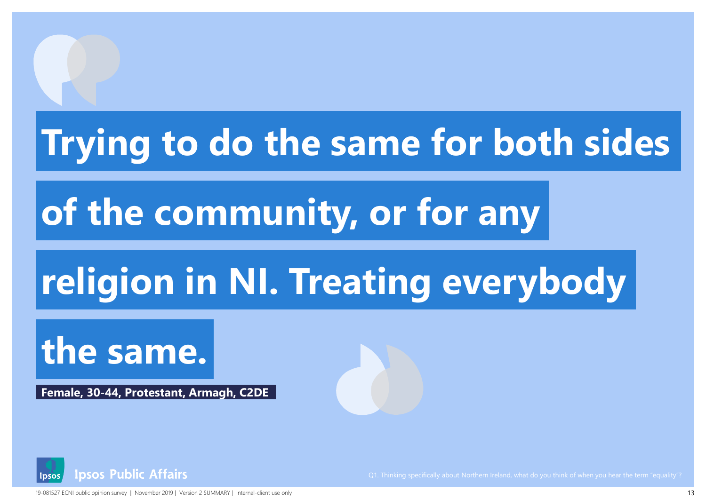# **Trying to do the same for both sides**

# **of the community, or for any**

# **religion in NI. Treating everybody**

# **the same.**

**Female, 30-44, Protestant, Armagh, C2DE**



19-081527 ECNI public opinion survey | November 2019 | Version 2 SUMMARY | Internal-client use only 13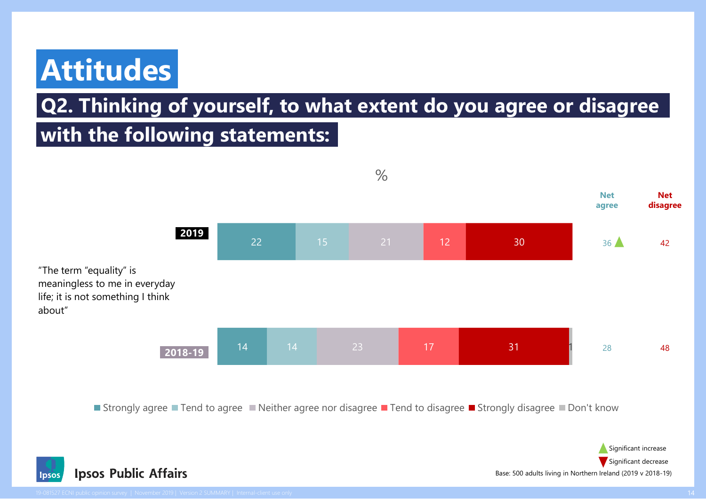## **Attitudes**

### **Q2. Thinking of yourself, to what extent do you agree or disagree**

### **with the following statements:**



■ Strongly agree ■ Tend to agree ■ Neither agree nor disagree ■ Tend to disagree ■ Strongly disagree ■ Don't know



about"

Base: 500 adults living in Northern Ireland (2019 v 2018-19) Significant decrease

Significant increase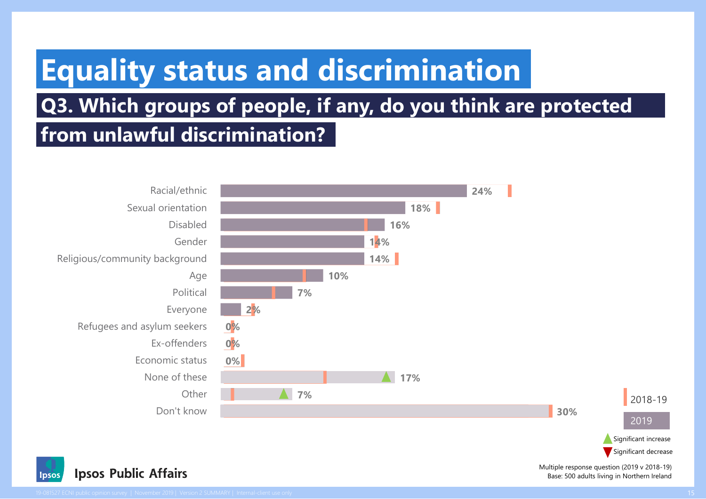## **Equality status and discrimination**

### **Q3. Which groups of people, if any, do you think are protected from unlawful discrimination?**





Multiple response question (2019 v 2018-19) Base: 500 adults living in Northern Ireland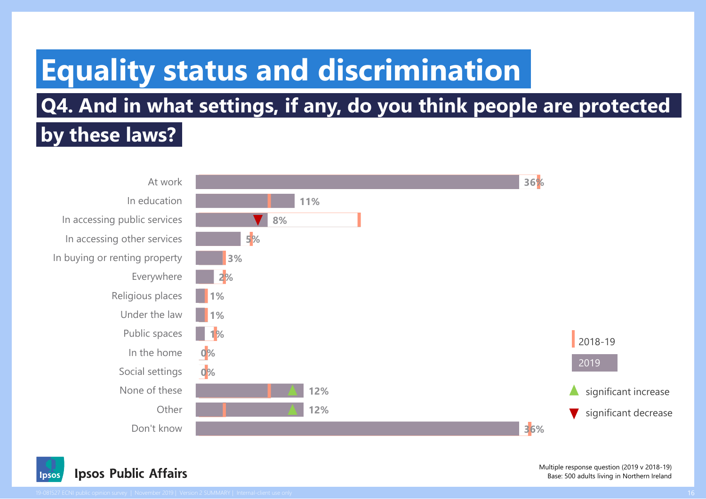# **Equality status and discrimination**

### **Q4. And in what settings, if any, do you think people are protected**

### **by these laws?**





Multiple response question (2019 v 2018-19) Base: 500 adults living in Northern Ireland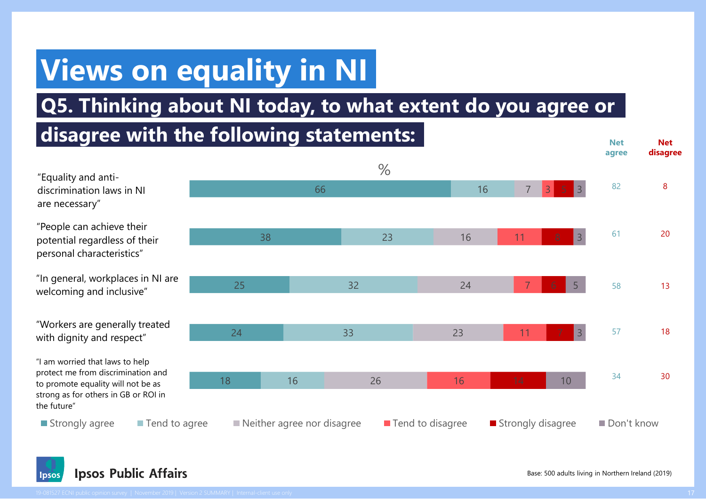# **Views on equality in NI**

### **Q5. Thinking about NI today, to what extent do you agree or**

### **disagree with the following statements:**



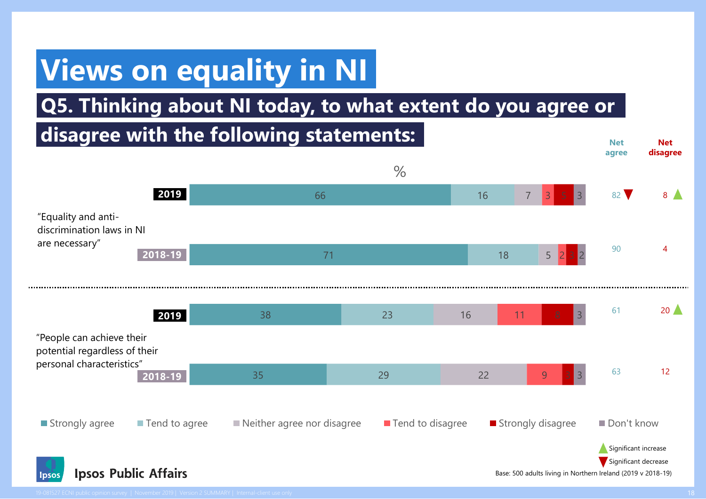# **Views on equality in NI**

### **Q5. Thinking about NI today, to what extent do you agree or**

#### 35 38 71 66 29 23 18 16 22 16 5 7 9 11 2 3 3 3 2 3  $\frac{0}{0}$ Strongly agree Tend to agree Neither agree nor disagree Tend to disagree Testrongly disagree Don't know **disagree with the following statements:** "People can achieve their potential regardless of their personal characteristics" "Equality and antidiscrimination laws in NI are necessary" **Net agree Net disagree** 82 8 90 4  $61$  20 63 12 **2019 2018-19 2019 2018-19** Significant increase Significant decrease



Base: 500 adults living in Northern Ireland (2019 v 2018-19)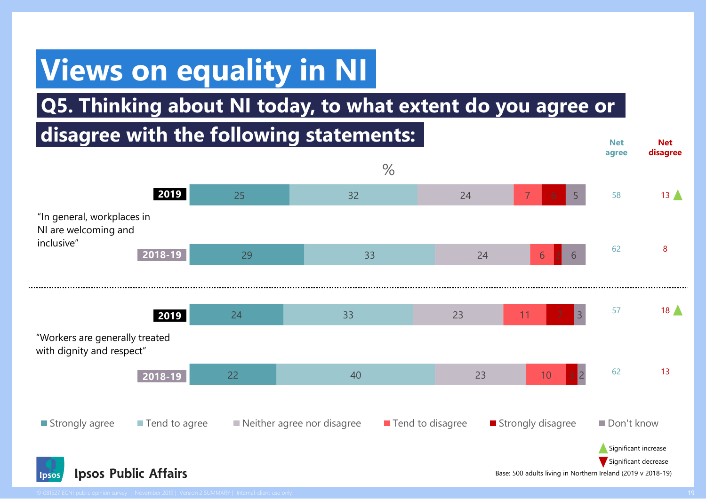# **Views on equality in NI**

### **Q5. Thinking about NI today, to what extent do you agree or**

### **disagree with the following statements:**



**Net** 

**Net**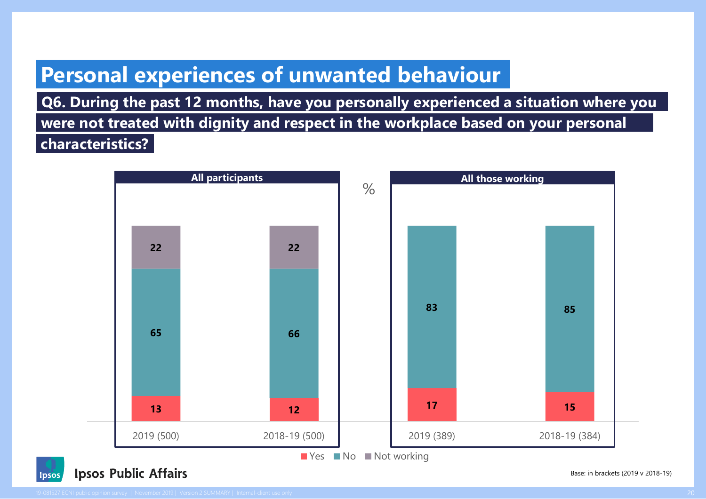### **Personal experiences of unwanted behaviour**

**Q6. During the past 12 months, have you personally experienced a situation where you were not treated with dignity and respect in the workplace based on your personal characteristics?**





Base: in brackets (2019 v 2018-19)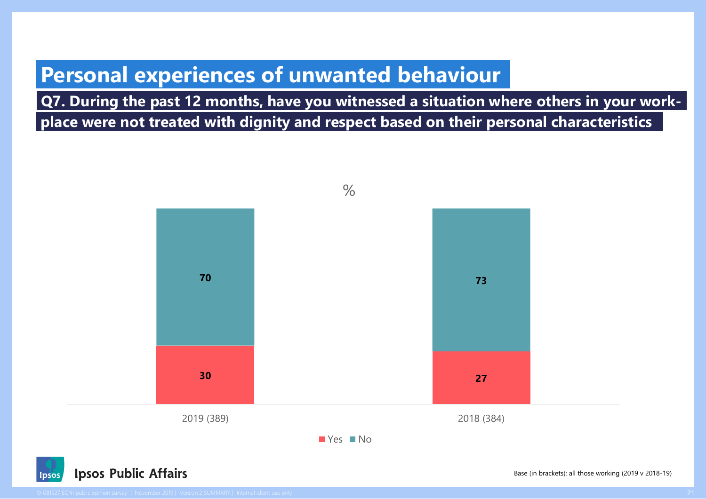### **Personal experiences of unwanted behaviour**

**Q7. During the past 12 months, have you witnessed a situation where others in your workplace were not treated with dignity and respect based on their personal characteristics**



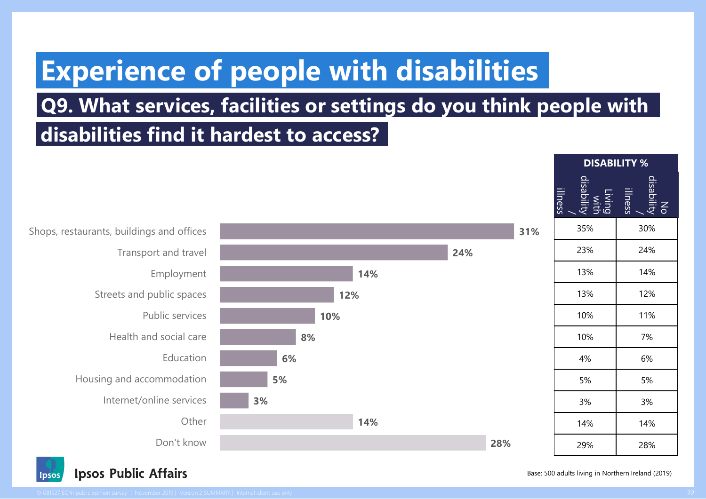### **Experience of people with disabilities**

### **Q9. What services, facilities or settings do you think people with**

**disabilities find it hardest to access?**



| <b>DISABILITY %</b>                     |                             |  |  |  |  |  |
|-----------------------------------------|-----------------------------|--|--|--|--|--|
| Living<br>with<br>disability<br>illness | No<br>disability<br>illness |  |  |  |  |  |
| 35%                                     | 30%                         |  |  |  |  |  |
| 23%                                     | 24%                         |  |  |  |  |  |
| 13%                                     | 14%                         |  |  |  |  |  |
| 13%                                     | 12%                         |  |  |  |  |  |
| 10%                                     | 11%                         |  |  |  |  |  |
| 10%                                     | 7%                          |  |  |  |  |  |
| 4%                                      | 6%                          |  |  |  |  |  |
| 5%                                      | 5%                          |  |  |  |  |  |
| 3%                                      | 3%                          |  |  |  |  |  |
| 14%                                     | 14%                         |  |  |  |  |  |
| 29%                                     | 28%                         |  |  |  |  |  |

**31%**

Transport and travel Employment Streets and public spaces Public services Health and social care Education Housing and accommodation Internet/online services

**Ipsos Public Affairs** Ipsos

Base: 500 adults living in Northern Ireland (2019)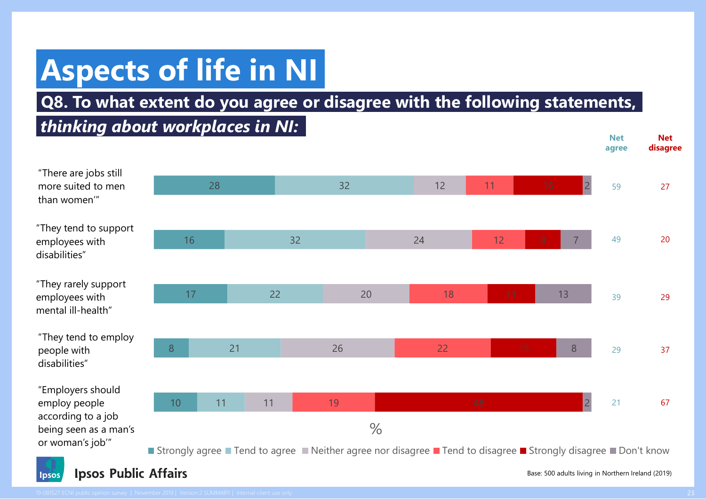# **Aspects of life in NI**

### **Q8. To what extent do you agree or disagree with the following statements,**

### *thinking about workplaces in NI:*



#### **Ipsos Public Affairs lpsos**

Base: 500 adults living in Northern Ireland (2019)

**Net** 

**Net**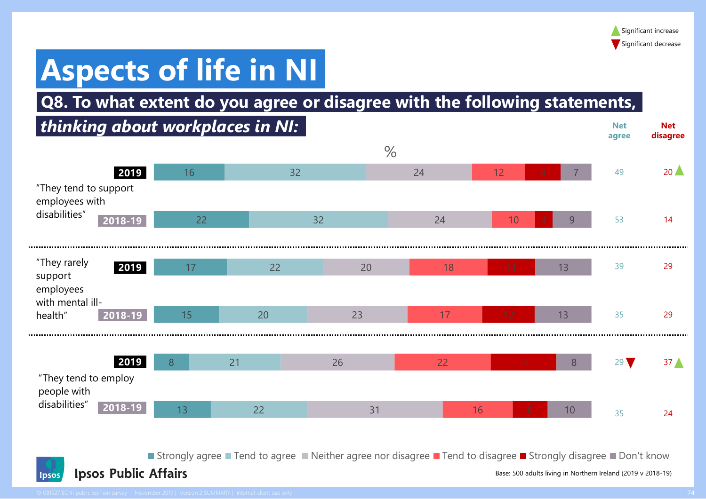**Net** 

**Net** 

# **Aspects of life in NI**

### **Q8. To what extent do you agree or disagree with the following statements,**

### *thinking about workplaces in NI:*



■ Strongly agree ■ Tend to agree ■ Neither agree nor disagree ■ Tend to disagree ■ Strongly disagree ■ Don't know



Base: 500 adults living in Northern Ireland (2019 v 2018-19)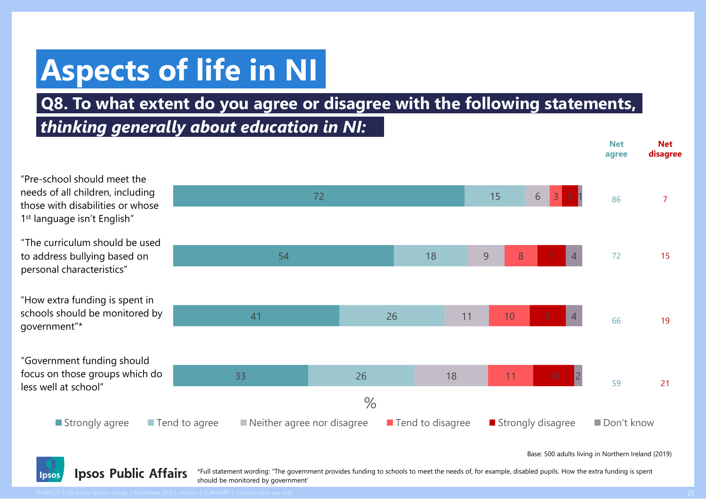# **Aspects of life in NI**

### **Q8. To what extent do you agree or disagree with the following statements,**

### *thinking generally about education in NI:*



**Ipsos Public Affairs** \*Full statement wording: "The government provides funding to schools to meet the needs of, for example, disabled pupils. How the extra funding is spent should be monitored by government'

Ipsos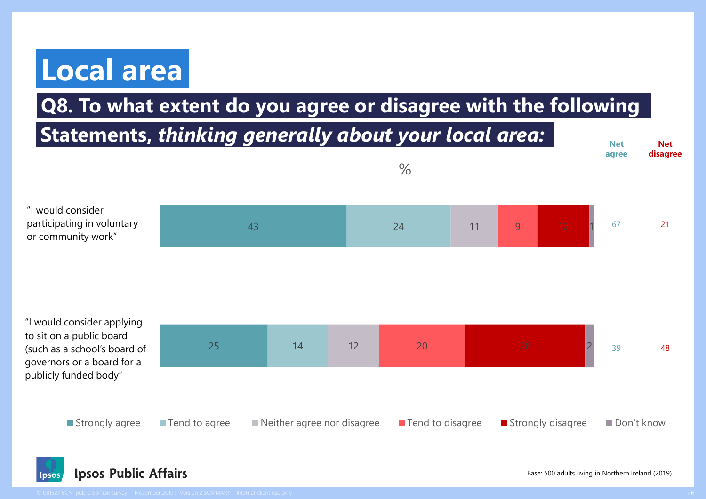# **Local area**

### **Q8. To what extent do you agree or disagree with the following**





Base: 500 adults living in Northern Ireland (2019)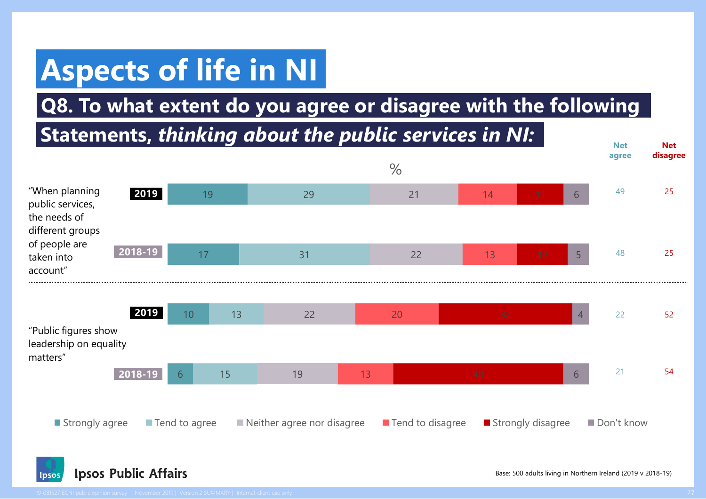# **Aspects of life in NI**

**Q8. To what extent do you agree or disagree with the following**

#### 6 10 17 19 15 13 31 29 19 22 22 21 13 20 13 14 6 4 5 6  $\frac{1}{2}$ ■ Strongly agree ■ Tend to agree ■ Neither agree nor disagree ■ Tend to disagree ■ Strongly disagree ■ Don't know **Statements,** *thinking about the public services in NI:* "When planning public services, the needs of different groups of people are taken into account" "Public figures show leadership on equality matters" **Net agree Net disagree** 49 25 48 25 22 52 21 54 **2019 2018-19 2019 2018-19**

**Ipsos Public Affairs** Ipsos

Base: 500 adults living in Northern Ireland (2019 v 2018-19)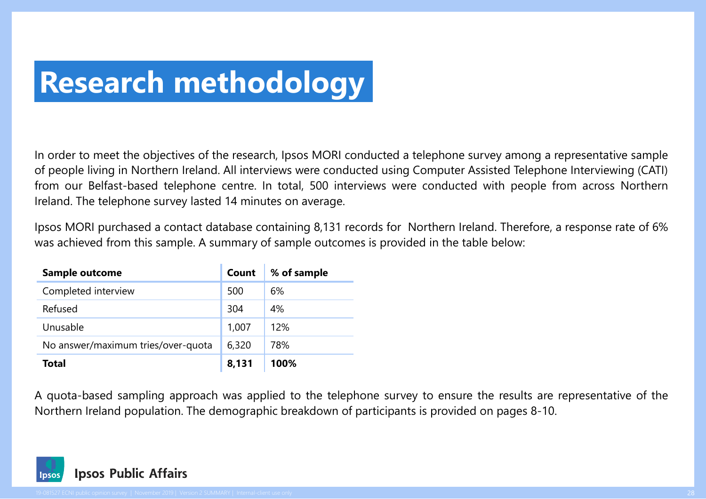# **Research methodology**

In order to meet the objectives of the research, Ipsos MORI conducted a telephone survey among a representative sample of people living in Northern Ireland. All interviews were conducted using Computer Assisted Telephone Interviewing (CATI) from our Belfast-based telephone centre. In total, 500 interviews were conducted with people from across Northern Ireland. The telephone survey lasted 14 minutes on average.

Ipsos MORI purchased a contact database containing 8,131 records for Northern Ireland. Therefore, a response rate of 6% was achieved from this sample. A summary of sample outcomes is provided in the table below:

| <b>Sample outcome</b>              | Count | % of sample |
|------------------------------------|-------|-------------|
| Completed interview                | 500   | 6%          |
| Refused                            | 304   | 4%          |
| Unusable                           | 1,007 | 12%         |
| No answer/maximum tries/over-quota | 6,320 | 78%         |
| <b>Total</b>                       | 8,131 | 100%        |

A quota-based sampling approach was applied to the telephone survey to ensure the results are representative of the Northern Ireland population. The demographic breakdown of participants is provided on pages 8-10.

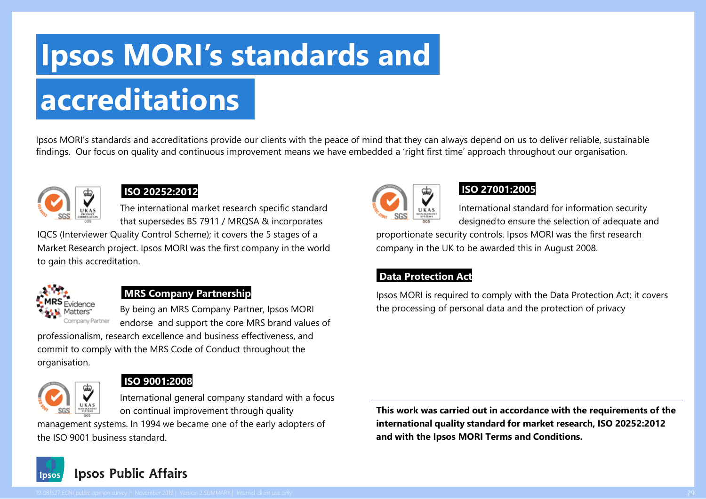## **Ipsos MORI's standards and**

# **accreditations**

Ipsos MORI's standards and accreditations provide our clients with the peace of mind that they can always depend on us to deliver reliable, sustainable findings. Our focus on quality and continuous improvement means we have embedded a 'right first time' approach throughout our organisation.



#### **ISO 20252:2012**

The international market research specific standard that supersedes BS 7911 / MRQSA & incorporates

IQCS (Interviewer Quality Control Scheme); it covers the 5 stages of a Market Research project. Ipsos MORI was the first company in the world to gain this accreditation.



#### **MRS Company Partnership**

By being an MRS Company Partner, Ipsos MORI endorse and support the core MRS brand values of

professionalism, research excellence and business effectiveness, and commit to comply with the MRS Code of Conduct throughout the organisation.



#### **ISO 9001:2008**

International general company standard with a focus on continual improvement through quality

management systems. In 1994 we became one of the early adopters of the ISO 9001 business standard.

**This work was carried out in accordance with the requirements of the international quality standard for market research, ISO 20252:2012 and with the Ipsos MORI Terms and Conditions.**







#### **ISO 27001:2005**

International standard for information security designedto ensure the selection of adequate and

proportionate security controls. Ipsos MORI was the first research company in the UK to be awarded this in August 2008.

#### **Data Protection Act**

Ipsos MORI is required to comply with the Data Protection Act; it covers the processing of personal data and the protection of privacy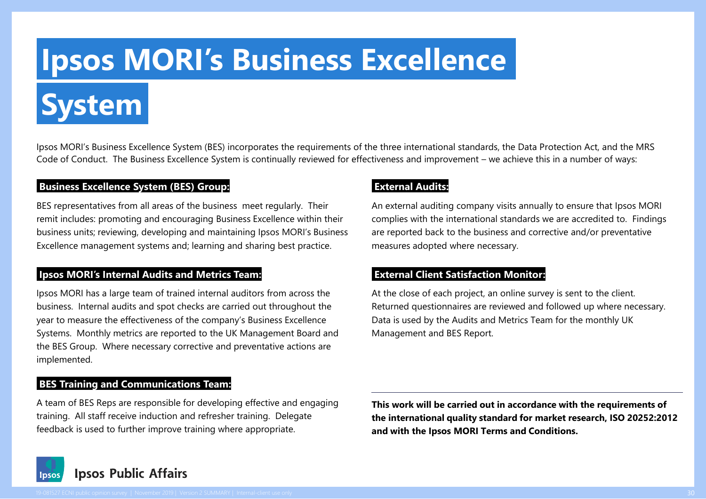# **Ipsos MORI's Business Excellence**

**System**

Ipsos MORI's Business Excellence System (BES) incorporates the requirements of the three international standards, the Data Protection Act, and the MRS Code of Conduct. The Business Excellence System is continually reviewed for effectiveness and improvement – we achieve this in a number of ways:

#### **Business Excellence System (BES) Group:**

BES representatives from all areas of the business meet regularly. Their remit includes: promoting and encouraging Business Excellence within their business units; reviewing, developing and maintaining Ipsos MORI's Business Excellence management systems and; learning and sharing best practice.

#### **Ipsos MORI's Internal Audits and Metrics Team:**

Ipsos MORI has a large team of trained internal auditors from across the business. Internal audits and spot checks are carried out throughout the year to measure the effectiveness of the company's Business Excellence Systems. Monthly metrics are reported to the UK Management Board and the BES Group. Where necessary corrective and preventative actions are implemented.

#### **BES Training and Communications Team:**

A team of BES Reps are responsible for developing effective and engaging training. All staff receive induction and refresher training. Delegate feedback is used to further improve training where appropriate.

#### **External Audits:**

An external auditing company visits annually to ensure that Ipsos MORI complies with the international standards we are accredited to. Findings are reported back to the business and corrective and/or preventative measures adopted where necessary.

#### **External Client Satisfaction Monitor:**

At the close of each project, an online survey is sent to the client. Returned questionnaires are reviewed and followed up where necessary. Data is used by the Audits and Metrics Team for the monthly UK Management and BES Report.

**This work will be carried out in accordance with the requirements of the international quality standard for market research, ISO 20252:2012 and with the Ipsos MORI Terms and Conditions.**